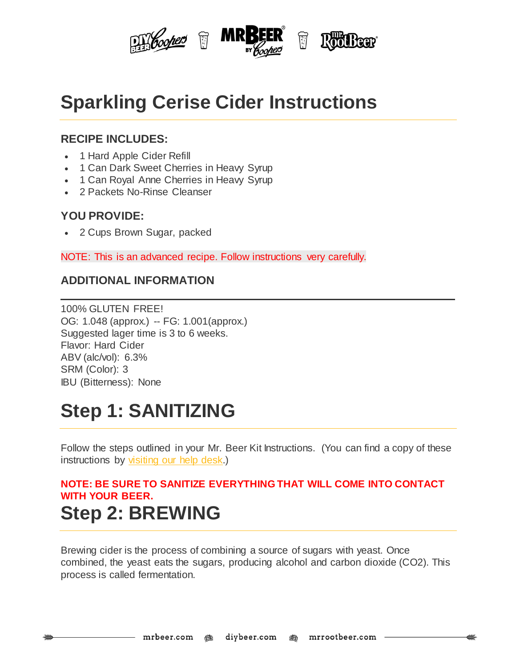

## **Sparkling Cerise Cider Instructions**

#### **RECIPE INCLUDES:**

- 1 Hard Apple Cider Refill
- 1 Can Dark Sweet Cherries in Heavy Syrup
- 1 Can Royal Anne Cherries in Heavy Syrup
- 2 Packets No-Rinse Cleanser

#### **YOU PROVIDE:**

• 2 Cups Brown Sugar, packed

NOTE: This is an advanced recipe. Follow instructions very carefully.

#### **ADDITIONAL INFORMATION**

100% GLUTEN FREE! OG: 1.048 (approx.) -- FG: 1.001(approx.) Suggested lager time is 3 to 6 weeks. Flavor: Hard Cider ABV (alc/vol): 6.3% SRM (Color): 3 IBU (Bitterness): None

# **Step 1: SANITIZING**

Follow the steps outlined in your Mr. Beer Kit Instructions. (You can find a copy of these instructions by [visiting](http://www.mrbeer.com/help) our help desk.)

### **NOTE: BE SURE TO SANITIZE EVERYTHING THAT WILL COME INTO CONTACT WITH YOUR BEER. Step 2: BREWING**

Brewing cider is the process of combining a source of sugars with yeast. Once combined, the yeast eats the sugars, producing alcohol and carbon dioxide (CO2). This process is called fermentation.